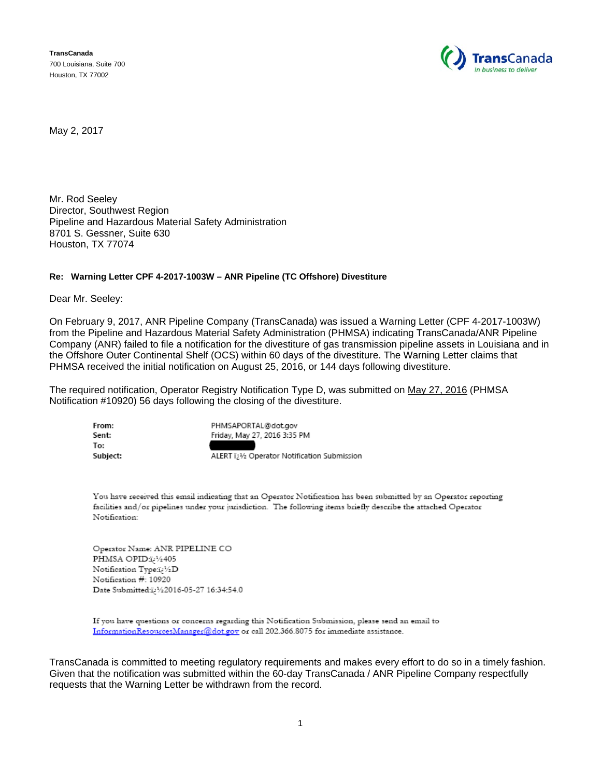**TransCanada**  700 Louisiana, Suite 700 Houston, TX 77002



May 2, 2017

Mr. Rod Seeley Director, Southwest Region Pipeline and Hazardous Material Safety Administration 8701 S. Gessner, Suite 630 Houston, TX 77074

## **Re: Warning Letter CPF 4-2017-1003W – ANR Pipeline (TC Offshore) Divestiture**

Dear Mr. Seeley:

On February 9, 2017, ANR Pipeline Company (TransCanada) was issued a Warning Letter (CPF 4-2017-1003W) from the Pipeline and Hazardous Material Safety Administration (PHMSA) indicating TransCanada/ANR Pipeline Company (ANR) failed to file a notification for the divestiture of gas transmission pipeline assets in Louisiana and in the Offshore Outer Continental Shelf (OCS) within 60 days of the divestiture. The Warning Letter claims that PHMSA received the initial notification on August 25, 2016, or 144 days following divestiture.

The required notification, Operator Registry Notification Type D, was submitted on May 27, 2016 (PHMSA Notification #10920) 56 days following the closing of the divestiture.

| From:    | PHMSAPORTAL@dot.gov                                       |
|----------|-----------------------------------------------------------|
| Sent:    | Friday, May 27, 2016 3:35 PM                              |
| To:      |                                                           |
| Subject: | ALERT i <sub>2</sub> 1/2 Operator Notification Submission |

You have received this email indicating that an Operator Notification has been submitted by an Operator reporting facilities and/or pipelines under your jurisdiction. The following items briefly describe the attached Operator Notification:

Operator Name: ANR PIPELINE CO PHMSA OPID:i<sub>c</sub>1/2405 Notification Type:i2 1/2D Notification #: 10920 Date Submitted:1/22016-05-27 16:34:54.0

If you have questions or concerns regarding this Notification Submission, please send an email to InformationResourcesManager@dot.gov or call 202.366.8075 for immediate assistance.

TransCanada is committed to meeting regulatory requirements and makes every effort to do so in a timely fashion. Given that the notification was submitted within the 60-day TransCanada / ANR Pipeline Company respectfully requests that the Warning Letter be withdrawn from the record.